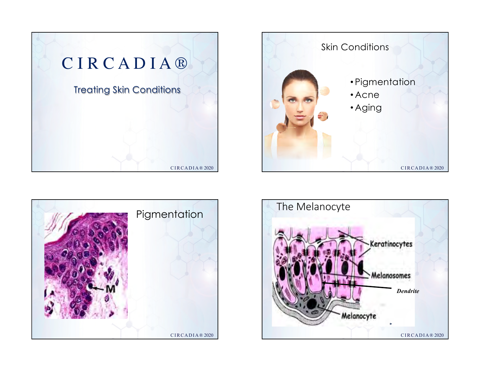





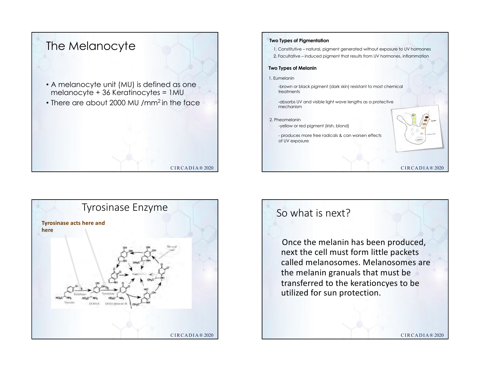

### **Two Types of Pigmentation**

- 1. Constitutive natural, pigment generated without exposure to UV hormones
- 2. Facultative induced pigment that results from UV hormones, inflammation

### **Two Types of Melanin**

1. Eumelanin

-brown or black pigment (dark skin) resistant to most chemical treatments

-absorbs UV and visible light wave lengths as a protective mechanism

2. Pheomelanin

-yellow or red pigment (irish, blond)

- produces more free radicals & can worsen effects of UV exposure



CIRCADIA® 2020



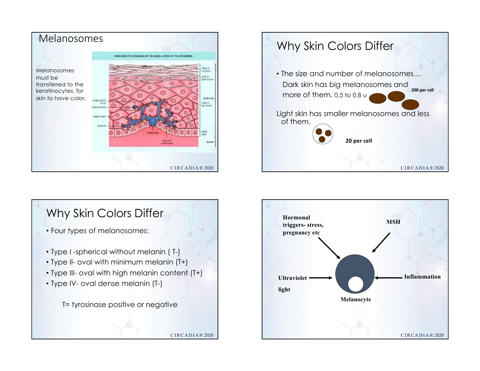





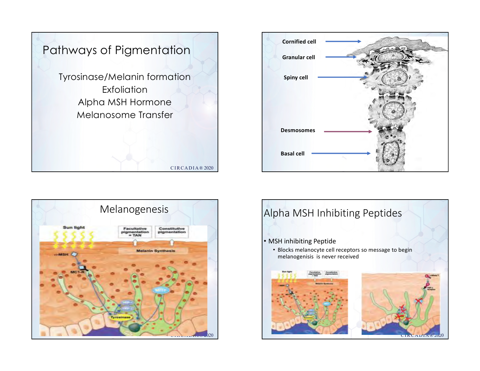





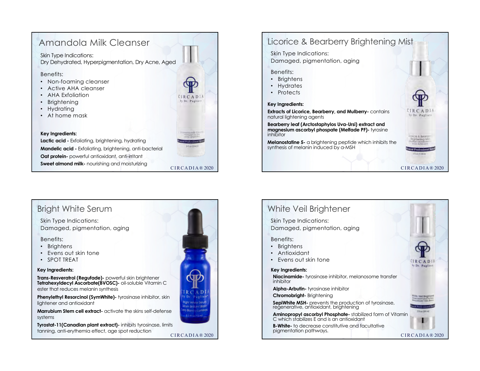### Amandola Milk Cleanser Skin Type Indications: Dry Dehydrated, Hyperpigmentation, Dry Acne, Aged Benefits: • Non-foaming cleanser • Active AHA cleanser • AHA Exfoliation CIRCADI by Dr. Puglice • Brightening • Hydrating • At home mask **Key Ingredients: Lactic acid -** Exfoliating, brightening, hydrating **Mandelic acid -** Exfoliating, brightening, anti-bacterial

**Oat protein-** powerful antioxidant, anti-irritant **Sweet almond milk-** nourishing and moisturizing



Skin Type Indications: Damaged, pigmentation, aging

Benefits:

- Brightens
- Evens out skin tone
- SPOT TREAT

### **Key Ingredients:**

**Trans-Resveratrol (Regufade)-** powerful skin brightener **Tetrahexyldecyl Ascorbate(BVOSC)-** oil-soluble Vitamin C ester that reduces melanin synthesis

**Phenylethyl Resorcinol (SymWhite)-** tyrosinase inhibitor, skin lightener and antioxidant

**Marrubium Stem cell extract-** activate the skins self-defense systems

**Tyrostat-11(Canadian plant extract)-** inhibits tyrosinase, limits tanning, anti-erythemia effect, age spot reduction







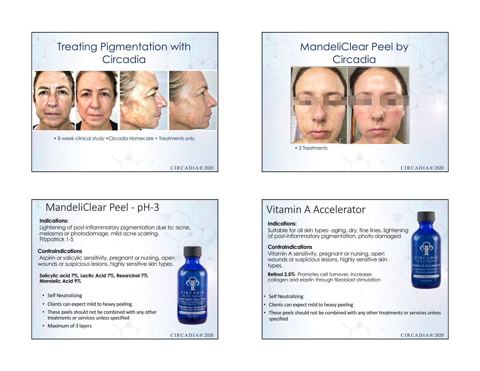



# MandeliClear Peel - pH-3

### **Indications:**

Lightening of post-inflammatory pigmentation due to: acne, melasma or photodamage, mild acne scarring. Fitzpatrick 1-5

### **Contraindications**

Aspirin or salicylic sensitivity, pregnant or nursing, open wounds or suspicious lesions, highly sensitive skin types.

**Salicylic acid 7%, Lactic Acid 7%, Resorcinol 7% Mandelic Acid 9%**

- Self Neutralizing
- Clients can expect mild to heavy peeling
- These peels should not be combined with any other treatments or services unless specified
- Maximum of 3 layers



### CIRCADIA® 2020

# Vitamin A Accelerator

### **Indications:**

Suitable for all skin types- aging, dry, fine lines, lightening of post-inflammatory pigmentation, photo damaged

### **Contraindications**

Vitamin A sensitivity, pregnant or nursing, open wounds or suspicious lesions, highly sensitive skin types.

**Retinol 2.5%**- Promotes cell turnover, Increases collagen and elastin through fibroblast stimulation

- **Self Neutralizing**
- Clients can expect mild to heavy peeling
- These peels should not be combined with any other treatments or services unless specified

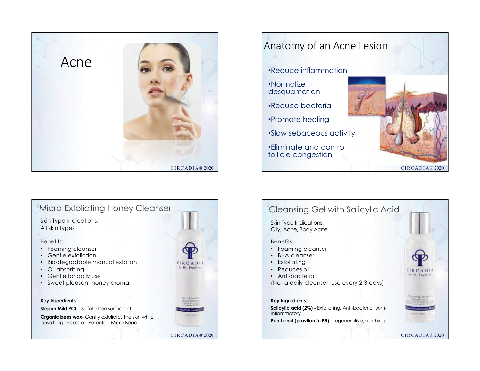





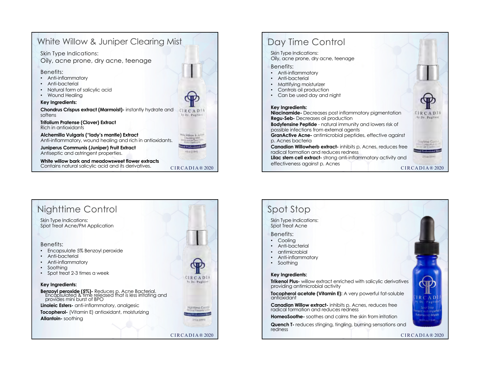## White Willow & Juniper Clearing Mist

Skin Type Indications:

Oily, acne prone, dry acne, teenage

### Benefits:

- Anti-inflammatory
- Anti-bacterial
- Natural form of salicylic acid
- Wound Healing

#### **Key Ingredients:**

**Chondrus Crispus extract (Marmoist)-** instantly hydrate and CIRCADIA by Dr. Pugliers softens

**Trifolium Pratense (Clover) Extract** Rich in antioxidants

**Alchemilla Vulgaris ("lady's mantle) Extract** Anti-inflammatory, wound healing and rich in antioxidants.

**Juniperus Communis (Juniper) Fruit Extract** Antiseptic and astringent properties.

**White willow bark and meadowsweet flower extracts** Contains natural salicylic acid and its derivatives.





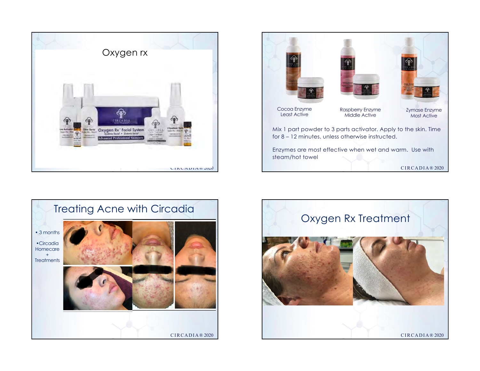





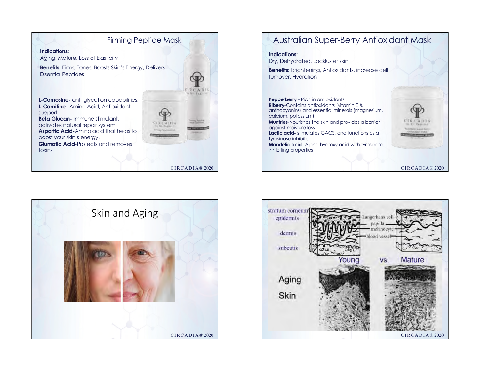

## Australian Super-Berry Antioxidant Mask

#### **Indications:**

Dry, Dehydrated, Lackluster skin

**Benefits:** brightening, Antioxidants, increase cell turnover, Hydration





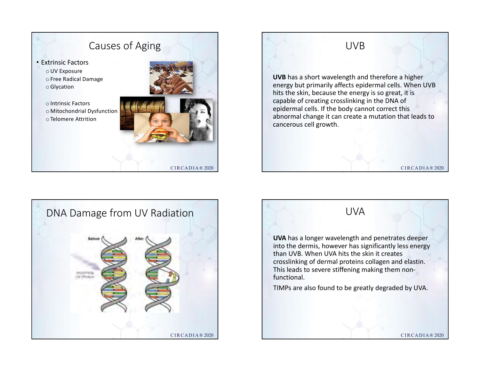



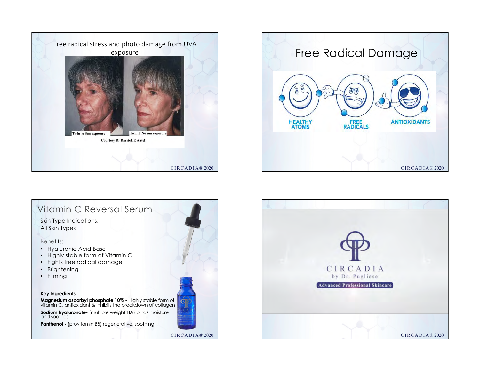





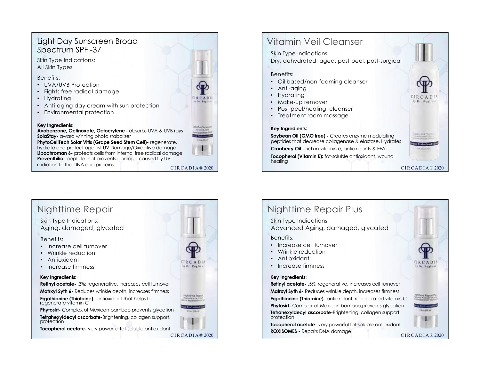### Light Day Sunscreen Broad Spectrum SPF -37

Skin Type Indications: All Skin Types

### Benefits:

- UVA/UVB Protection
- Fights free radical damage
- Hydrating
- Anti-aging day cream with sun protection
- Environmental protection

#### **Key Ingredients:**

**Avobenzone, Octinoxate, Octocrylene** - absorbs UVA & UVB rays **SolaStay-** award winning photo stabalizer

**PhytoCellTech Solar Vitis (Grape Seed Stem Cell)-** regenerate, hydrate and protect against UV Damage/Oxidative damage **Lipochroman 6-** protects cells from internal free radical damage **Preventhilia-** peptide that prevents damage caused by UV radiation to the DNA and proteins.

CIRCADIA® 2020

**CIRCAD** 

## Vitamin Veil Cleanser

Skin Type Indications:

Dry, dehydrated, aged, post peel, post-surgical

#### Benefits:

- Oil based/non-foaming cleanser
- Anti-aging
- Hydrating
- Make-up remover
- Post peel/healing cleanser
- Treatment room massage

### **Key Ingredients:**

**Soybean Oil (GMO free) -** Creates enzyme modulating peptides that decrease collagenase & elastase, Hydrates **Cranberry Oil -** rich in vitamin e, antioxidants & EFA

**Tocopherol (Vitamin E):** fat-soluble antioxidant, wound healing







Aging, damaged, glycated

### Benefits:

- 
- Wrinkle reduction
- 
- 

### **Key Ingredients:**

**Phytosirt-** Complex of Mexican bamboo, prevents alveation

**Tocopherol acetate-** very powerful fat-soluble antioxidant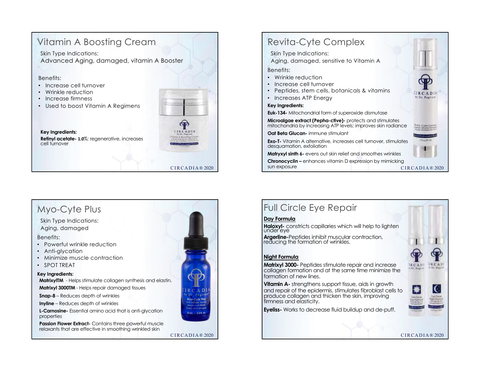# Vitamin A Boosting Cream

Skin Type Indications: Advanced Aging, damaged, vitamin A Booster

### Benefits:

- Increase cell turnover
- Wrinkle reduction
- Increase firmness
- Used to boost Vitamin A Regimens

#### **Key Ingredients:**

**Retinyl acetate- 1.0**%; regenerative, increases cell turnover

### Myo-Cyte Plus **Key Ingredients: MatrixylTM** - Helps stimulate collagen synthesis and elastin. **Matrixyl 3000TM** - Helps repair damaged tissues Skin Type Indications: Aging, damaged Benefits: • Powerful wrinkle reduction • Anti-alvcation • Minimize muscle contraction • SPOT TREAT

**Snap-8** – Reduces depth of wrinkles

**Inyline** – Reduces depth of wrinkles

**L-Carnosine-** Essential amino acid that is anti-glycation properties

**Passion Flower Extract-** Contains three powerful muscle relaxants that are effective in smoothing wrinkled skin

CIRCADIA® 2020



### Full Circle Eye Repair **Day Formula Haloxyl-** constricts capillaries which will help to lighten under eye **Argerline-**Peptides inhibit muscular contraction, reducing the formation of wrinkles. **Night Formula Matrixyl 3000-** Peptides stimulate repair and increase IRCAD **IRCADI** Dr. Puglio collagen formation and at the same time minimize the formation of new lines. **Vitamin A-** strengthens support tissue, aids in growth and repair of the epidermis, stimulates fibroblast cells to produce collagen and thicken the skin, improving firmness and elasticity. **Eyeliss-** Works to decrease fluid buildup and de-puff.CIRCADIA® 2020

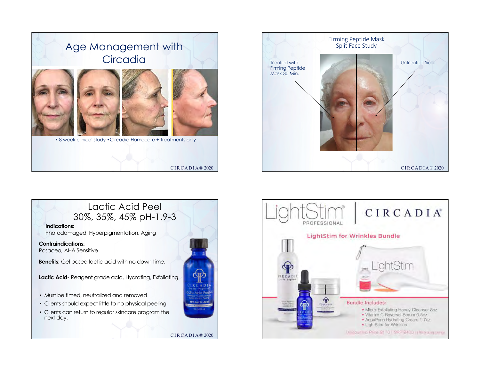